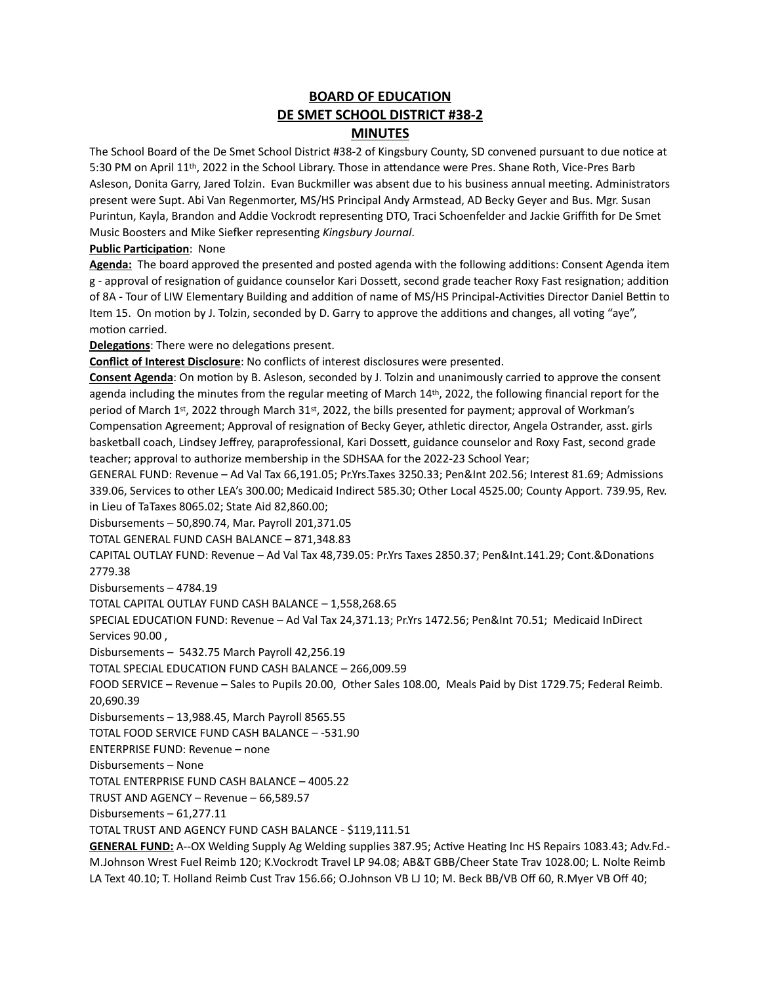# **BOARD OF EDUCATION DE SMET SCHOOL DISTRICT #38-2 MINUTES**

The School Board of the De Smet School District #38-2 of Kingsbury County, SD convened pursuant to due notice at 5:30 PM on April 11th, 2022 in the School Library. Those in attendance were Pres. Shane Roth, Vice-Pres Barb Asleson, Donita Garry, Jared Tolzin. Evan Buckmiller was absent due to his business annual meeting. Administrators present were Supt. Abi Van Regenmorter, MS/HS Principal Andy Armstead, AD Becky Geyer and Bus. Mgr. Susan Purintun, Kayla, Brandon and Addie Vockrodt representing DTO, Traci Schoenfelder and Jackie Griffith for De Smet Music Boosters and Mike Siefker representing *Kingsbury Journal*.

**Public Participation**: None

**Agenda:** The board approved the presented and posted agenda with the following additions: Consent Agenda item g - approval of resignation of guidance counselor Kari Dossett, second grade teacher Roxy Fast resignation; addition of 8A - Tour of LIW Elementary Building and addition of name of MS/HS Principal-Activities Director Daniel Bettin to Item 15. On motion by J. Tolzin, seconded by D. Garry to approve the additions and changes, all voting "aye", motion carried.

**Delegations**: There were no delegations present.

**Conflict of Interest Disclosure**: No conflicts of interest disclosures were presented.

**Consent Agenda**: On motion by B. Asleson, seconded by J. Tolzin and unanimously carried to approve the consent agenda including the minutes from the regular meeting of March 14th, 2022, the following financial report for the period of March 1st, 2022 through March 31st, 2022, the bills presented for payment; approval of Workman's Compensation Agreement; Approval of resignation of Becky Geyer, athletic director, Angela Ostrander, asst. girls basketball coach, Lindsey Jeffrey, paraprofessional, Kari Dossett, guidance counselor and Roxy Fast, second grade teacher; approval to authorize membership in the SDHSAA for the 2022-23 School Year;

GENERAL FUND: Revenue – Ad Val Tax 66,191.05; Pr.Yrs.Taxes 3250.33; Pen&Int 202.56; Interest 81.69; Admissions 339.06, Services to other LEA's 300.00; Medicaid Indirect 585.30; Other Local 4525.00; County Apport. 739.95, Rev. in Lieu of TaTaxes 8065.02; State Aid 82,860.00;

Disbursements – 50,890.74, Mar. Payroll 201,371.05

TOTAL GENERAL FUND CASH BALANCE – 871,348.83

CAPITAL OUTLAY FUND: Revenue – Ad Val Tax 48,739.05: Pr.Yrs Taxes 2850.37; Pen&Int.141.29; Cont.&Donations 2779.38

Disbursements – 4784.19

TOTAL CAPITAL OUTLAY FUND CASH BALANCE – 1,558,268.65

SPECIAL EDUCATION FUND: Revenue – Ad Val Tax 24,371.13; Pr.Yrs 1472.56; Pen&Int 70.51; Medicaid InDirect Services 90.00 ,

Disbursements – 5432.75 March Payroll 42,256.19

TOTAL SPECIAL EDUCATION FUND CASH BALANCE – 266,009.59

FOOD SERVICE – Revenue – Sales to Pupils 20.00, Other Sales 108.00, Meals Paid by Dist 1729.75; Federal Reimb. 20,690.39

Disbursements – 13,988.45, March Payroll 8565.55

TOTAL FOOD SERVICE FUND CASH BALANCE – -531.90

ENTERPRISE FUND: Revenue – none

Disbursements – None

TOTAL ENTERPRISE FUND CASH BALANCE – 4005.22

TRUST AND AGENCY – Revenue – 66,589.57

Disbursements – 61,277.11

TOTAL TRUST AND AGENCY FUND CASH BALANCE - \$119,111.51

**GENERAL FUND:** A--OX Welding Supply Ag Welding supplies 387.95; Active Heating Inc HS Repairs 1083.43; Adv.Fd.- M.Johnson Wrest Fuel Reimb 120; K.Vockrodt Travel LP 94.08; AB&T GBB/Cheer State Trav 1028.00; L. Nolte Reimb LA Text 40.10; T. Holland Reimb Cust Trav 156.66; O.Johnson VB LJ 10; M. Beck BB/VB Off 60, R.Myer VB Off 40;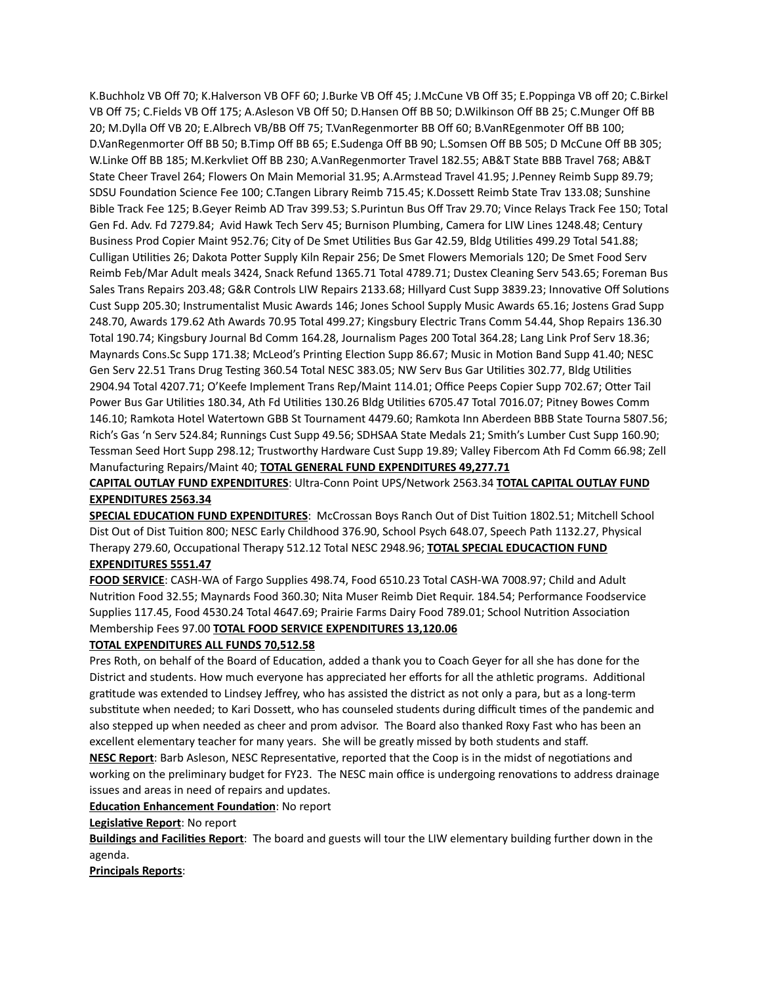K.Buchholz VB Off 70; K.Halverson VB OFF 60; J.Burke VB Off 45; J.McCune VB Off 35; E.Poppinga VB off 20; C.Birkel VB Off 75; C.Fields VB Off 175; A.Asleson VB Off 50; D.Hansen Off BB 50; D.Wilkinson Off BB 25; C.Munger Off BB 20; M.Dylla Off VB 20; E.Albrech VB/BB Off 75; T.VanRegenmorter BB Off 60; B.VanREgenmoter Off BB 100; D.VanRegenmorter Off BB 50; B.Timp Off BB 65; E.Sudenga Off BB 90; L.Somsen Off BB 505; D McCune Off BB 305; W.Linke Off BB 185; M.Kerkvliet Off BB 230; A.VanRegenmorter Travel 182.55; AB&T State BBB Travel 768; AB&T State Cheer Travel 264; Flowers On Main Memorial 31.95; A.Armstead Travel 41.95; J.Penney Reimb Supp 89.79; SDSU Foundation Science Fee 100; C.Tangen Library Reimb 715.45; K.Dossett Reimb State Trav 133.08; Sunshine Bible Track Fee 125; B.Geyer Reimb AD Trav 399.53; S.Purintun Bus Off Trav 29.70; Vince Relays Track Fee 150; Total Gen Fd. Adv. Fd 7279.84; Avid Hawk Tech Serv 45; Burnison Plumbing, Camera for LIW Lines 1248.48; Century Business Prod Copier Maint 952.76; City of De Smet Utilities Bus Gar 42.59, Bldg Utilities 499.29 Total 541.88; Culligan Utilities 26; Dakota Potter Supply Kiln Repair 256; De Smet Flowers Memorials 120; De Smet Food Serv Reimb Feb/Mar Adult meals 3424, Snack Refund 1365.71 Total 4789.71; Dustex Cleaning Serv 543.65; Foreman Bus Sales Trans Repairs 203.48; G&R Controls LIW Repairs 2133.68; Hillyard Cust Supp 3839.23; Innovative Off Solutions Cust Supp 205.30; Instrumentalist Music Awards 146; Jones School Supply Music Awards 65.16; Jostens Grad Supp 248.70, Awards 179.62 Ath Awards 70.95 Total 499.27; Kingsbury Electric Trans Comm 54.44, Shop Repairs 136.30 Total 190.74; Kingsbury Journal Bd Comm 164.28, Journalism Pages 200 Total 364.28; Lang Link Prof Serv 18.36; Maynards Cons.Sc Supp 171.38; McLeod's Printing Election Supp 86.67; Music in Motion Band Supp 41.40; NESC Gen Serv 22.51 Trans Drug Testing 360.54 Total NESC 383.05; NW Serv Bus Gar Utilities 302.77, Bldg Utilities 2904.94 Total 4207.71; O'Keefe Implement Trans Rep/Maint 114.01; Office Peeps Copier Supp 702.67; Otter Tail Power Bus Gar Utilities 180.34, Ath Fd Utilities 130.26 Bldg Utilities 6705.47 Total 7016.07; Pitney Bowes Comm 146.10; Ramkota Hotel Watertown GBB St Tournament 4479.60; Ramkota Inn Aberdeen BBB State Tourna 5807.56; Rich's Gas 'n Serv 524.84; Runnings Cust Supp 49.56; SDHSAA State Medals 21; Smith's Lumber Cust Supp 160.90; Tessman Seed Hort Supp 298.12; Trustworthy Hardware Cust Supp 19.89; Valley Fibercom Ath Fd Comm 66.98; Zell Manufacturing Repairs/Maint 40; **TOTAL GENERAL FUND EXPENDITURES 49,277.71**

**CAPITAL OUTLAY FUND EXPENDITURES**: Ultra-Conn Point UPS/Network 2563.34 **TOTAL CAPITAL OUTLAY FUND EXPENDITURES 2563.34**

**SPECIAL EDUCATION FUND EXPENDITURES**: McCrossan Boys Ranch Out of Dist Tuition 1802.51; Mitchell School Dist Out of Dist Tuition 800; NESC Early Childhood 376.90, School Psych 648.07, Speech Path 1132.27, Physical Therapy 279.60, Occupational Therapy 512.12 Total NESC 2948.96; **TOTAL SPECIAL EDUCACTION FUND** 

# **EXPENDITURES 5551.47**

**FOOD SERVICE**: CASH-WA of Fargo Supplies 498.74, Food 6510.23 Total CASH-WA 7008.97; Child and Adult Nutrition Food 32.55; Maynards Food 360.30; Nita Muser Reimb Diet Requir. 184.54; Performance Foodservice Supplies 117.45, Food 4530.24 Total 4647.69; Prairie Farms Dairy Food 789.01; School Nutrition Association Membership Fees 97.00 **TOTAL FOOD SERVICE EXPENDITURES 13,120.06**

#### **TOTAL EXPENDITURES ALL FUNDS 70,512.58**

Pres Roth, on behalf of the Board of Education, added a thank you to Coach Geyer for all she has done for the District and students. How much everyone has appreciated her efforts for all the athletic programs. Additional gratitude was extended to Lindsey Jeffrey, who has assisted the district as not only a para, but as a long-term substitute when needed; to Kari Dossett, who has counseled students during difficult times of the pandemic and also stepped up when needed as cheer and prom advisor. The Board also thanked Roxy Fast who has been an excellent elementary teacher for many years. She will be greatly missed by both students and staff.

**NESC Report**: Barb Asleson, NESC Representative, reported that the Coop is in the midst of negotiations and working on the preliminary budget for FY23. The NESC main office is undergoing renovations to address drainage issues and areas in need of repairs and updates.

### **Education Enhancement Foundation**: No report

**Legislative Report**: No report

**Buildings and Facilities Report**: The board and guests will tour the LIW elementary building further down in the agenda.

**Principals Reports**: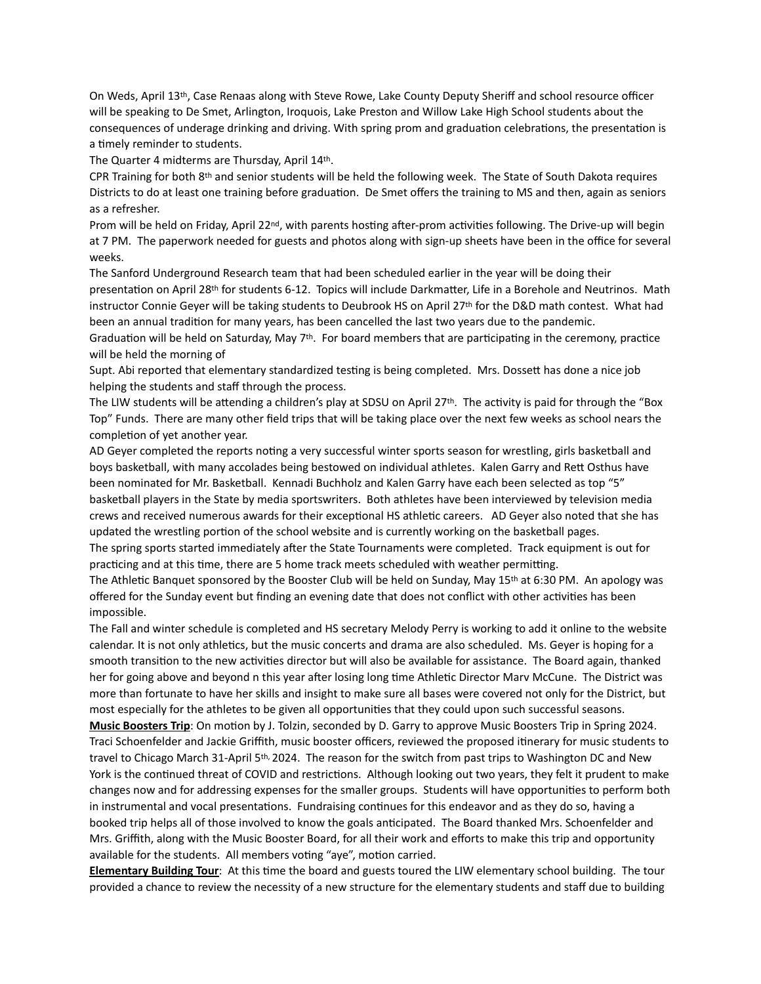On Weds, April 13th, Case Renaas along with Steve Rowe, Lake County Deputy Sheriff and school resource officer will be speaking to De Smet, Arlington, Iroquois, Lake Preston and Willow Lake High School students about the consequences of underage drinking and driving. With spring prom and graduation celebrations, the presentation is a timely reminder to students.

The Quarter 4 midterms are Thursday, April 14th.

CPR Training for both 8th and senior students will be held the following week. The State of South Dakota requires Districts to do at least one training before graduation. De Smet offers the training to MS and then, again as seniors as a refresher.

Prom will be held on Friday, April 22<sup>nd</sup>, with parents hosting after-prom activities following. The Drive-up will begin at 7 PM. The paperwork needed for guests and photos along with sign-up sheets have been in the office for several weeks.

The Sanford Underground Research team that had been scheduled earlier in the year will be doing their presentation on April 28th for students 6-12. Topics will include Darkmatter, Life in a Borehole and Neutrinos. Math instructor Connie Geyer will be taking students to Deubrook HS on April 27th for the D&D math contest. What had been an annual tradition for many years, has been cancelled the last two years due to the pandemic.

Graduation will be held on Saturday, May 7th. For board members that are participating in the ceremony, practice will be held the morning of

Supt. Abi reported that elementary standardized testing is being completed. Mrs. Dossett has done a nice job helping the students and staff through the process.

The LIW students will be attending a children's play at SDSU on April 27th. The activity is paid for through the "Box Top" Funds. There are many other field trips that will be taking place over the next few weeks as school nears the completion of yet another year.

AD Geyer completed the reports noting a very successful winter sports season for wrestling, girls basketball and boys basketball, with many accolades being bestowed on individual athletes. Kalen Garry and Rett Osthus have been nominated for Mr. Basketball. Kennadi Buchholz and Kalen Garry have each been selected as top "5" basketball players in the State by media sportswriters. Both athletes have been interviewed by television media crews and received numerous awards for their exceptional HS athletic careers. AD Geyer also noted that she has updated the wrestling portion of the school website and is currently working on the basketball pages.

The spring sports started immediately after the State Tournaments were completed. Track equipment is out for practicing and at this time, there are 5 home track meets scheduled with weather permitting.

The Athletic Banquet sponsored by the Booster Club will be held on Sunday, May 15th at 6:30 PM. An apology was offered for the Sunday event but finding an evening date that does not conflict with other activities has been impossible.

The Fall and winter schedule is completed and HS secretary Melody Perry is working to add it online to the website calendar. It is not only athletics, but the music concerts and drama are also scheduled. Ms. Geyer is hoping for a smooth transition to the new activities director but will also be available for assistance. The Board again, thanked her for going above and beyond n this year after losing long time Athletic Director Marv McCune. The District was more than fortunate to have her skills and insight to make sure all bases were covered not only for the District, but most especially for the athletes to be given all opportunities that they could upon such successful seasons.

**Music Boosters Trip**: On motion by J. Tolzin, seconded by D. Garry to approve Music Boosters Trip in Spring 2024. Traci Schoenfelder and Jackie Griffith, music booster officers, reviewed the proposed itinerary for music students to travel to Chicago March 31-April 5th, 2024. The reason for the switch from past trips to Washington DC and New York is the continued threat of COVID and restrictions. Although looking out two years, they felt it prudent to make changes now and for addressing expenses for the smaller groups. Students will have opportunities to perform both in instrumental and vocal presentations. Fundraising continues for this endeavor and as they do so, having a booked trip helps all of those involved to know the goals anticipated. The Board thanked Mrs. Schoenfelder and Mrs. Griffith, along with the Music Booster Board, for all their work and efforts to make this trip and opportunity available for the students. All members voting "aye", motion carried.

**Elementary Building Tour**: At this time the board and guests toured the LIW elementary school building. The tour provided a chance to review the necessity of a new structure for the elementary students and staff due to building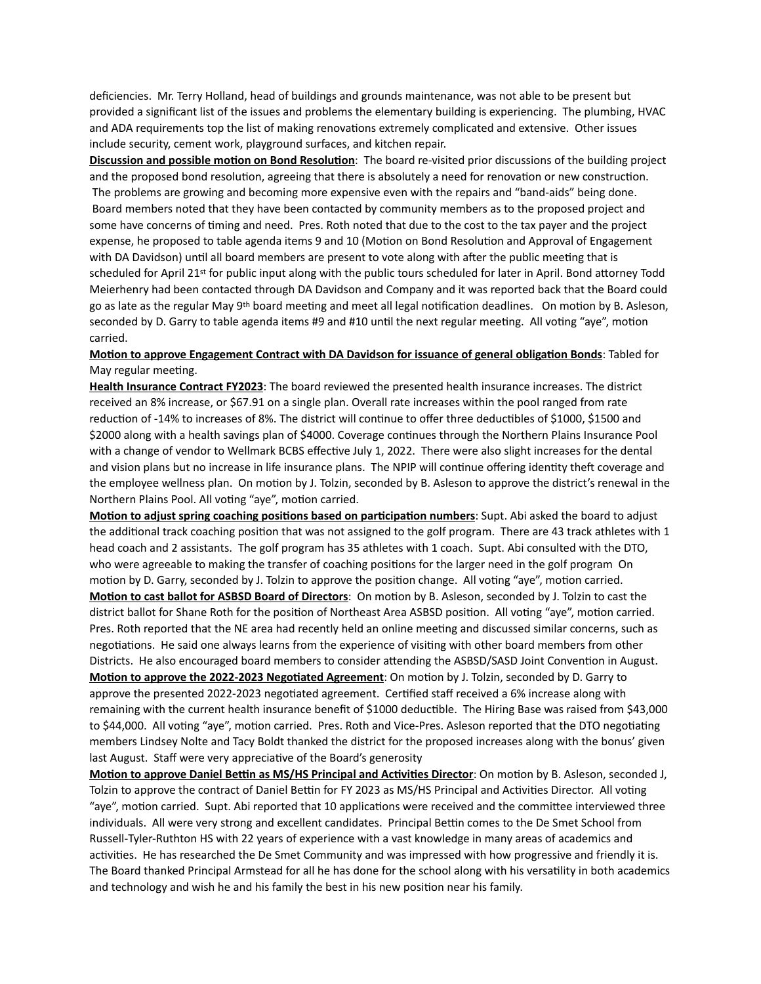deficiencies. Mr. Terry Holland, head of buildings and grounds maintenance, was not able to be present but provided a significant list of the issues and problems the elementary building is experiencing. The plumbing, HVAC and ADA requirements top the list of making renovations extremely complicated and extensive. Other issues include security, cement work, playground surfaces, and kitchen repair.

**Discussion and possible motion on Bond Resolution**: The board re-visited prior discussions of the building project and the proposed bond resolution, agreeing that there is absolutely a need for renovation or new construction. The problems are growing and becoming more expensive even with the repairs and "band-aids" being done. Board members noted that they have been contacted by community members as to the proposed project and some have concerns of timing and need. Pres. Roth noted that due to the cost to the tax payer and the project expense, he proposed to table agenda items 9 and 10 (Motion on Bond Resolution and Approval of Engagement with DA Davidson) until all board members are present to vote along with after the public meeting that is scheduled for April 21st for public input along with the public tours scheduled for later in April. Bond attorney Todd Meierhenry had been contacted through DA Davidson and Company and it was reported back that the Board could go as late as the regular May 9<sup>th</sup> board meeting and meet all legal notification deadlines. On motion by B. Asleson, seconded by D. Garry to table agenda items #9 and #10 until the next regular meeting. All voting "aye", motion carried.

## **Motion to approve Engagement Contract with DA Davidson for issuance of general obligation Bonds**: Tabled for May regular meeting.

**Health Insurance Contract FY2023**: The board reviewed the presented health insurance increases. The district received an 8% increase, or \$67.91 on a single plan. Overall rate increases within the pool ranged from rate reduction of -14% to increases of 8%. The district will continue to offer three deductibles of \$1000, \$1500 and \$2000 along with a health savings plan of \$4000. Coverage continues through the Northern Plains Insurance Pool with a change of vendor to Wellmark BCBS effective July 1, 2022. There were also slight increases for the dental and vision plans but no increase in life insurance plans. The NPIP will continue offering identity theft coverage and the employee wellness plan. On motion by J. Tolzin, seconded by B. Asleson to approve the district's renewal in the Northern Plains Pool. All voting "aye", motion carried.

**Motion to adjust spring coaching positions based on participation numbers**: Supt. Abi asked the board to adjust the additional track coaching position that was not assigned to the golf program. There are 43 track athletes with 1 head coach and 2 assistants. The golf program has 35 athletes with 1 coach. Supt. Abi consulted with the DTO, who were agreeable to making the transfer of coaching positions for the larger need in the golf program On motion by D. Garry, seconded by J. Tolzin to approve the position change. All voting "aye", motion carried. **Motion to cast ballot for ASBSD Board of Directors**: On motion by B. Asleson, seconded by J. Tolzin to cast the district ballot for Shane Roth for the position of Northeast Area ASBSD position. All voting "aye", motion carried. Pres. Roth reported that the NE area had recently held an online meeting and discussed similar concerns, such as negotiations. He said one always learns from the experience of visiting with other board members from other Districts. He also encouraged board members to consider attending the ASBSD/SASD Joint Convention in August. **Motion to approve the 2022-2023 Negotiated Agreement**: On motion by J. Tolzin, seconded by D. Garry to approve the presented 2022-2023 negotiated agreement. Certified staff received a 6% increase along with remaining with the current health insurance benefit of \$1000 deductible. The Hiring Base was raised from \$43,000 to \$44,000. All voting "aye", motion carried. Pres. Roth and Vice-Pres. Asleson reported that the DTO negotiating members Lindsey Nolte and Tacy Boldt thanked the district for the proposed increases along with the bonus' given last August. Staff were very appreciative of the Board's generosity

**Motion to approve Daniel Bettin as MS/HS Principal and Activities Director**: On motion by B. Asleson, seconded J, Tolzin to approve the contract of Daniel Bettin for FY 2023 as MS/HS Principal and Activities Director. All voting "aye", motion carried. Supt. Abi reported that 10 applications were received and the committee interviewed three individuals. All were very strong and excellent candidates. Principal Bettin comes to the De Smet School from Russell-Tyler-Ruthton HS with 22 years of experience with a vast knowledge in many areas of academics and activities. He has researched the De Smet Community and was impressed with how progressive and friendly it is. The Board thanked Principal Armstead for all he has done for the school along with his versatility in both academics and technology and wish he and his family the best in his new position near his family.